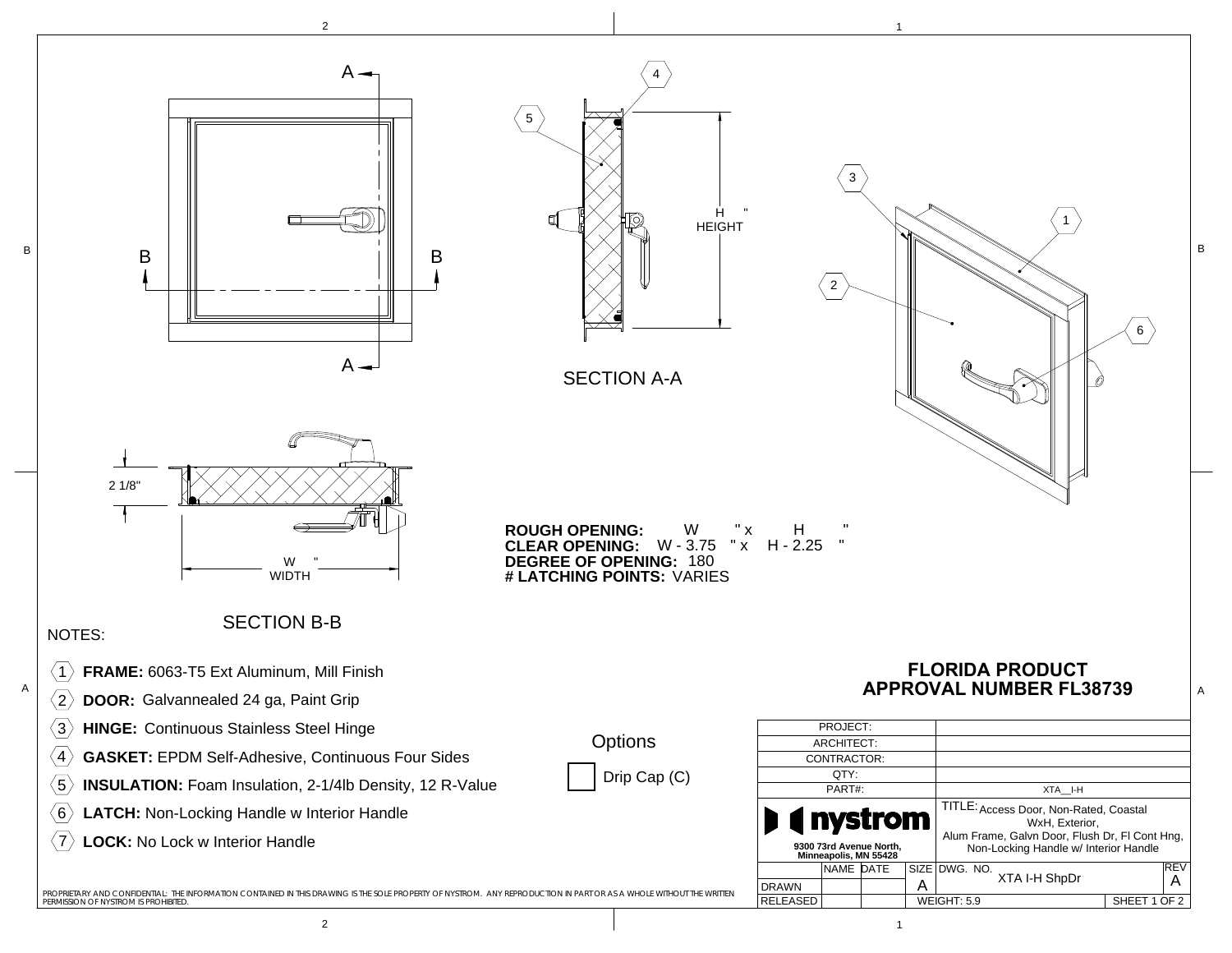